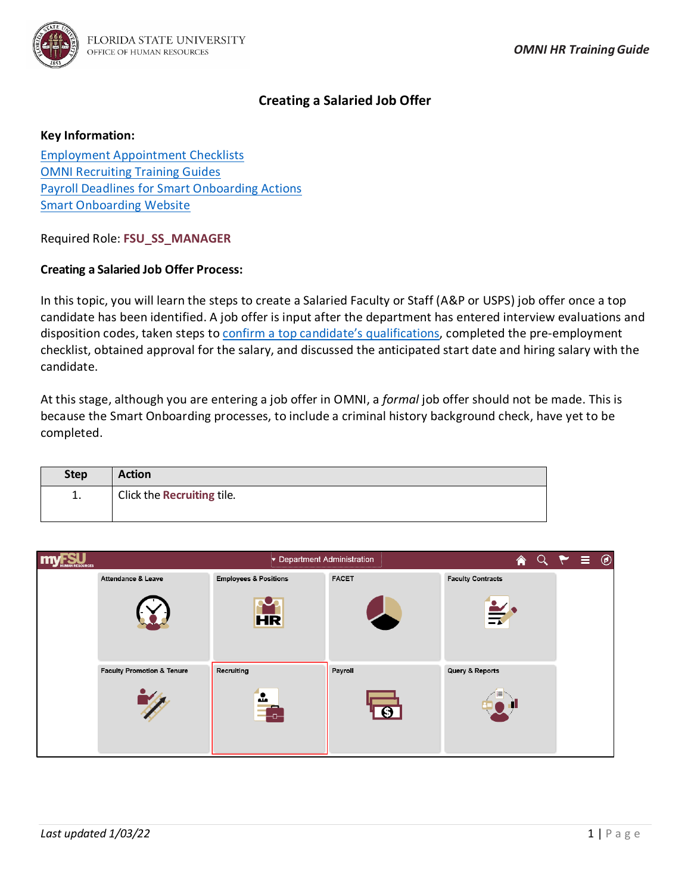

# **Creating a Salaried Job Offer**

#### **Key Information:**

[Employment Appointment Checklists](https://www.hr.fsu.edu/sections/employment-recruitment-services/departments) [OMNI Recruiting Training Guides](http://hr.fsu.edu/?page=training/training_omni) [Payroll Deadlines for Smart Onboarding Actions](https://hr.fsu.edu/sections/employee-data-management/deadlines) [Smart Onboarding Website](https://hr.fsu.edu/smartonboarding/)

Required Role: **FSU\_SS\_MANAGER**

### **Creating a Salaried Job Offer Process:**

In this topic, you will learn the steps to create a Salaried Faculty or Staff (A&P or USPS) job offer once a top candidate has been identified. A job offer is input after the department has entered interview evaluations and disposition codes, taken steps to [confirm a top candidate's qualifications,](https://hr.fsu.edu/?page=ers/confirm_qualifications) completed the pre-employment checklist, obtained approval for the salary, and discussed the anticipated start date and hiring salary with the candidate.

At this stage, although you are entering a job offer in OMNI, a *formal* job offer should not be made. This is because the Smart Onboarding processes, to include a criminal history background check, have yet to be completed.

| <b>Step</b> | <b>Action</b>              |
|-------------|----------------------------|
| ī.          | Click the Recruiting tile. |

| m<br><b>RESOURCES</b> |                                       |                                  | Department Administration | $Q \rightarrow$<br>合     | $\equiv$ $\odot$ |  |
|-----------------------|---------------------------------------|----------------------------------|---------------------------|--------------------------|------------------|--|
|                       | Attendance & Leave                    | <b>Employees &amp; Positions</b> | <b>FACET</b>              | <b>Faculty Contracts</b> |                  |  |
|                       |                                       | <b>HR</b>                        |                           | $\cong$                  |                  |  |
|                       | <b>Faculty Promotion &amp; Tenure</b> | Recruiting                       | Payroll                   | Query & Reports          |                  |  |
|                       |                                       | Ŀ                                |                           |                          |                  |  |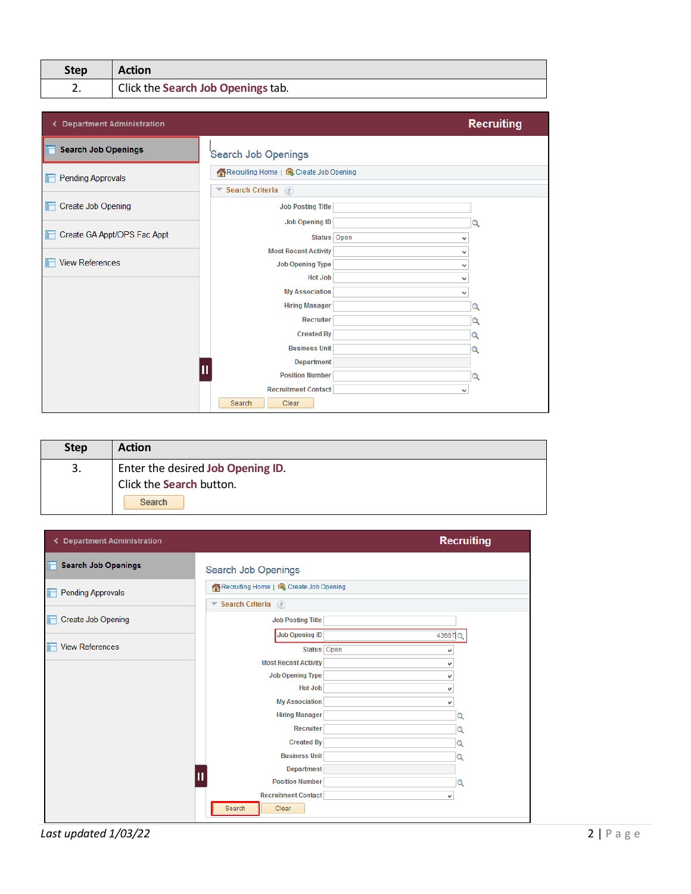| <b>Step</b> | <b>Action</b>                      |
|-------------|------------------------------------|
| z.          | Click the Search Job Openings tab. |

| < Department Administration    |                                                 | <b>Recruiting</b> |
|--------------------------------|-------------------------------------------------|-------------------|
| <b>Search Job Openings</b>     | Search Job Openings                             |                   |
| Pending Approvals              | Recruiting Home   d Create Job Opening          |                   |
|                                | $\blacktriangledown$ Search Criteria $\lceil$ ? |                   |
| <b>Create Job Opening</b><br>盯 | <b>Job Posting Title</b>                        |                   |
|                                | <b>Job Opening ID</b>                           | Q                 |
| Create GA Appt/OPS Fac Appt    | Status Open                                     | v                 |
|                                | <b>Most Recent Activity</b>                     | v                 |
| <b>View References</b>         | <b>Job Opening Type</b>                         | v                 |
|                                | <b>Hot Job</b>                                  | v                 |
|                                | <b>My Association</b>                           | v                 |
|                                | <b>Hiring Manager</b>                           | Q                 |
|                                | <b>Recruiter</b>                                | Q                 |
|                                | <b>Created By</b>                               | Q                 |
|                                | <b>Business Unit</b>                            | Q                 |
|                                | <b>Department</b>                               |                   |
|                                | <b>Position Number</b>                          | Q                 |
|                                | <b>Recruitment Contact</b>                      | v                 |
|                                | Search<br>Clear                                 |                   |

| <b>Step</b> | <b>Action</b>                                                 |
|-------------|---------------------------------------------------------------|
| 3.          | Enter the desired Job Opening ID.<br>Click the Search button. |
|             | Search                                                        |

| ← Department Administration     |                                          |        | <b>Recruiting</b> |
|---------------------------------|------------------------------------------|--------|-------------------|
| <b>Search Job Openings</b>      | Search Job Openings                      |        |                   |
| <b>Pending Approvals</b><br>'n  | Recruiting Home   d Create Job Opening   |        |                   |
|                                 | $\blacktriangledown$ Search Criteria (?) |        |                   |
| <b>Create Job Opening</b><br>in | <b>Job Posting Title</b>                 |        |                   |
|                                 | <b>Job Opening ID</b>                    | 43667Q |                   |
| <b>View References</b><br>۰     | Status Open                              | v      |                   |
|                                 | <b>Most Recent Activity</b>              | v      |                   |
|                                 | <b>Job Opening Type</b>                  | v      |                   |
|                                 | <b>Hot Job</b>                           | v      |                   |
|                                 | <b>My Association</b>                    | v      |                   |
|                                 | <b>Hiring Manager</b>                    |        | Q                 |
|                                 | <b>Recruiter</b>                         |        | Q                 |
|                                 | <b>Created By</b>                        |        | Q                 |
|                                 | <b>Business Unit</b>                     |        | Q                 |
|                                 | <b>Department</b>                        |        |                   |
|                                 | Ш<br><b>Position Number</b>              |        | Q                 |
|                                 | <b>Recruitment Contact</b>               | v      |                   |
|                                 | Search<br>Clear                          |        |                   |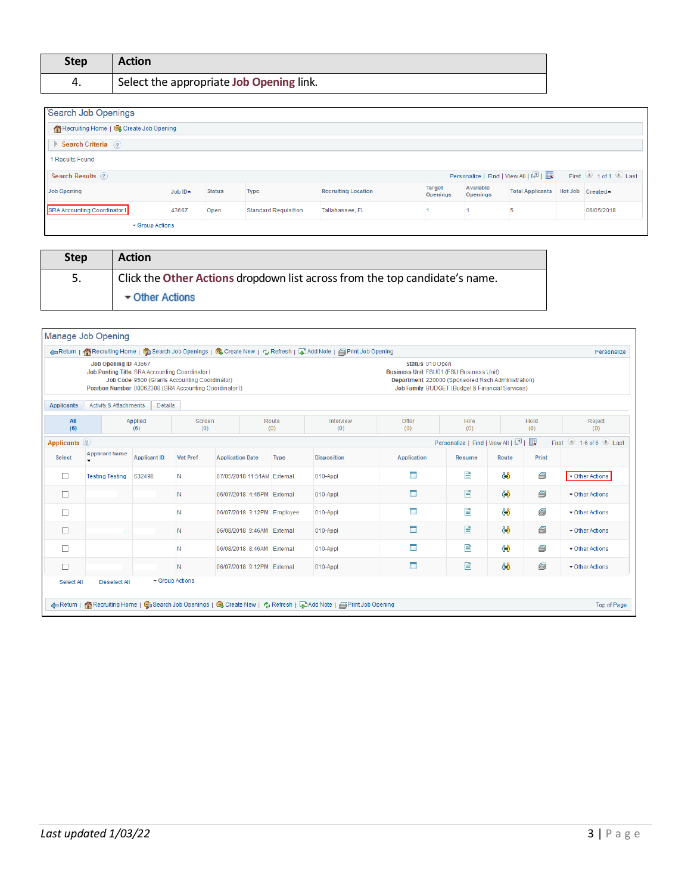| <b>Step</b> | <b>Action</b>                            |
|-------------|------------------------------------------|
| 4.          | Select the appropriate Job Opening link. |

| Search Job Openings                    |               |               |                             |                            |                                  |                       |                         |                                                                                                      |
|----------------------------------------|---------------|---------------|-----------------------------|----------------------------|----------------------------------|-----------------------|-------------------------|------------------------------------------------------------------------------------------------------|
| Recruiting Home   C Create Job Opening |               |               |                             |                            |                                  |                       |                         |                                                                                                      |
| Search Criteria (?)                    |               |               |                             |                            |                                  |                       |                         |                                                                                                      |
| 1 Results Found                        |               |               |                             |                            |                                  |                       |                         |                                                                                                      |
| <b>Search Results</b> (?)              |               |               |                             |                            |                                  |                       |                         | Personalize   Find   View All   $\boxed{2}$   $\boxed{12}$ First $\boxed{0}$ 1 of 1 $\boxed{0}$ Last |
| <b>Job Opening</b>                     | Job IDA       | <b>Status</b> | <b>Type</b>                 | <b>Recruiting Location</b> | <b>Target</b><br><b>Openings</b> | Available<br>Openings | <b>Total Applicants</b> | Hot Job Created                                                                                      |
| SRA Accounting Coordinator I           | 43667         | Open          | <b>Standard Requisition</b> | Tallahassee, FL            |                                  |                       |                         | 06/05/2018                                                                                           |
|                                        | Group Actions |               |                             |                            |                                  |                       |                         |                                                                                                      |

| <b>Step</b> | <b>Action</b>                                                               |
|-------------|-----------------------------------------------------------------------------|
| 5.          | Click the Other Actions dropdown list across from the top candidate's name. |
|             | ▼ Other Actions                                                             |

|                   | Manage Job Opening                                                                                                                                                                                                                                                                                  |                     |                 |                             |              |                                                                                                                |                                                                                                                                                                           |                                   |       |             | Personalize                               |
|-------------------|-----------------------------------------------------------------------------------------------------------------------------------------------------------------------------------------------------------------------------------------------------------------------------------------------------|---------------------|-----------------|-----------------------------|--------------|----------------------------------------------------------------------------------------------------------------|---------------------------------------------------------------------------------------------------------------------------------------------------------------------------|-----------------------------------|-------|-------------|-------------------------------------------|
|                   | Areturn   Recruiting Home   G Search Job Openings   G Create New   少Refresh   国Add Note   国 Print Job Opening<br>Job Opening ID 43667<br>Job Posting Title SRA Accounting Coordinator I<br>Job Code 9500 (Grants Accounting Coordinator)<br>Position Number 00062308 (SRA Accounting Coordinator I) |                     |                 |                             |              |                                                                                                                | Status 010 Open<br><b>Business Unit FSU01 (FSU Business Unit)</b><br>Department 220000 (Sponsored Rsch Administration)<br>Job Family BUDGET (Budget & Financial Services) |                                   |       |             |                                           |
| <b>Applicants</b> | Activity & Attachments                                                                                                                                                                                                                                                                              | <b>Details</b>      |                 |                             |              |                                                                                                                |                                                                                                                                                                           |                                   |       |             |                                           |
| All<br>(6)        |                                                                                                                                                                                                                                                                                                     | Applied<br>(6)      | Screen<br>(0)   |                             | Route<br>(0) | Interview<br>(0)                                                                                               | Offer<br>(0)                                                                                                                                                              | Hire<br>(0)                       |       | Hold<br>(0) | Reject<br>(0)                             |
| Applicants 2      |                                                                                                                                                                                                                                                                                                     |                     |                 |                             |              |                                                                                                                |                                                                                                                                                                           | Personalize   Find   View All   2 |       | 圜           | First $\bigcirc$ 1-6 of 6 $\bigcirc$ Last |
| <b>Select</b>     | <b>Applicant Name</b>                                                                                                                                                                                                                                                                               | <b>Applicant ID</b> | <b>Vet Pref</b> | <b>Application Date</b>     | <b>Type</b>  | <b>Disposition</b>                                                                                             | <b>Application</b>                                                                                                                                                        | <b>Resume</b>                     | Route | Print       |                                           |
| П                 | <b>Testing Testing</b>                                                                                                                                                                                                                                                                              | 632498              | N               | 07/05/2018 11:51AM External |              | 010-Appl                                                                                                       | П                                                                                                                                                                         | E                                 | ර්රි  | 6           | ▼ Other Actions                           |
| $\Box$            |                                                                                                                                                                                                                                                                                                     |                     | N               | 06/07/2018 4:45PM External  |              | 010-Appl                                                                                                       | $\blacksquare$                                                                                                                                                            | 目                                 | 88    | 8           | ▼ Other Actions                           |
| □                 |                                                                                                                                                                                                                                                                                                     |                     | N               | 06/07/2018 3:12PM Employee  |              | 010-Appl                                                                                                       | П                                                                                                                                                                         | P                                 | ôô    | e           | ▼ Other Actions                           |
| □                 |                                                                                                                                                                                                                                                                                                     |                     | N               | 06/08/2018 9:46AM External  |              | 010-Appl                                                                                                       | $\Box$                                                                                                                                                                    | B                                 | රිරි  | 5           | Other Actions                             |
| П                 |                                                                                                                                                                                                                                                                                                     |                     | N               | 06/08/2018 8:46AM           | External     | 010-Appl                                                                                                       | m                                                                                                                                                                         | E                                 | ôô    | 6           | Other Actions                             |
| Г                 |                                                                                                                                                                                                                                                                                                     |                     | N               | 06/07/2018 9:12PM External  |              | 010-Appl                                                                                                       | $\Box$                                                                                                                                                                    | E                                 | 88    | 8           | ▼ Other Actions                           |
| Select All        | <b>Deselect All</b>                                                                                                                                                                                                                                                                                 |                     | Group Actions   |                             |              |                                                                                                                |                                                                                                                                                                           |                                   |       |             |                                           |
|                   |                                                                                                                                                                                                                                                                                                     |                     |                 |                             |              | Acturn   各Recruiting Home   電 Search Job Openings   電 Create New   な Refresh   こAdd Note   国 Print Job Opening |                                                                                                                                                                           |                                   |       |             | Top of Page                               |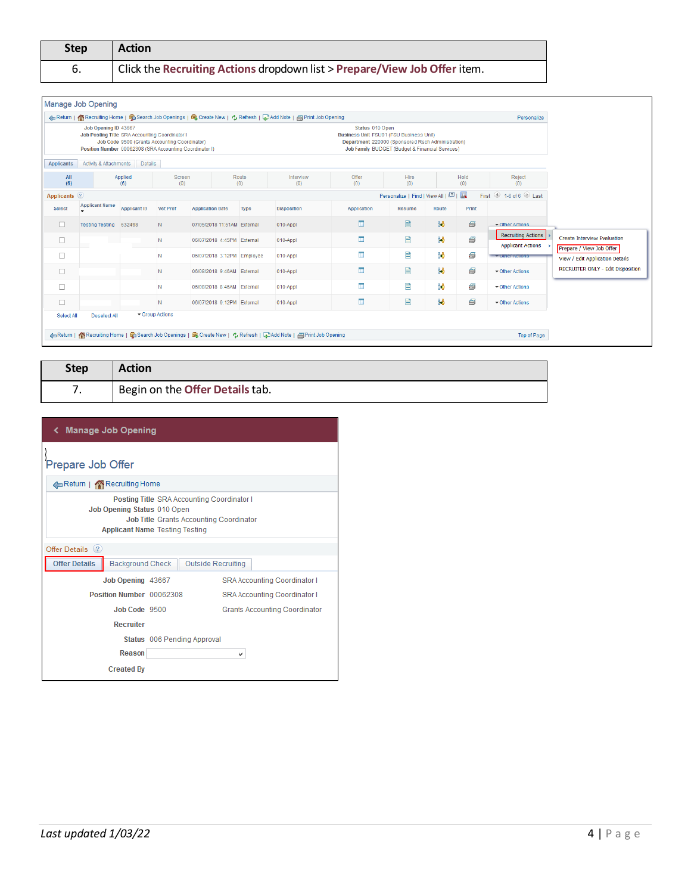| <b>Step</b> | <b>Action</b>                                                             |
|-------------|---------------------------------------------------------------------------|
| 6.          | Click the Recruiting Actions dropdown list > Prepare/View Job Offer item. |

|               | Manage Job Opening                                                                                                                       |                                               |                 |                             |              | 4 Return   Ka Recruiting Home   G Search Job Openings   G Create New   + Refresh   B Add Note   APrint Job Opening |                                                            |                                                                                                      |       |             | Personalize                                           |                                                             |
|---------------|------------------------------------------------------------------------------------------------------------------------------------------|-----------------------------------------------|-----------------|-----------------------------|--------------|--------------------------------------------------------------------------------------------------------------------|------------------------------------------------------------|------------------------------------------------------------------------------------------------------|-------|-------------|-------------------------------------------------------|-------------------------------------------------------------|
|               | Job Opening ID 43667<br><b>Job Posting Title SRA Accounting Coordinator I</b><br>Position Number 00062308 (SRA Accounting Coordinator I) | Job Code 9500 (Grants Accounting Coordinator) |                 |                             |              |                                                                                                                    | Status 010 Open<br>Business Unit FSU01 (FSU Business Unit) | Department 220000 (Sponsored Rsch Administration)<br>Job Family BUDGET (Budget & Financial Services) |       |             |                                                       |                                                             |
| Applicants    | <b>Activity &amp; Attachments</b>                                                                                                        | <b>Details</b>                                |                 |                             |              |                                                                                                                    |                                                            |                                                                                                      |       |             |                                                       |                                                             |
| All<br>(6)    |                                                                                                                                          | Applied<br>(6)                                | Screen<br>(0)   |                             | Route<br>(0) | Interview<br>(0)                                                                                                   | Offer<br>(0)                                               | Hire<br>(0)                                                                                          |       | Hold<br>(0) | Reject<br>(0)                                         |                                                             |
| Applicants ?  |                                                                                                                                          |                                               |                 |                             |              |                                                                                                                    |                                                            | Personalize   Find   View All   2                                                                    |       | 展           | First 1-6 of 6 Last                                   |                                                             |
| <b>Select</b> | <b>Applicant Name</b>                                                                                                                    | <b>Applicant ID</b>                           | <b>Vet Pref</b> | <b>Application Date</b>     | Type         | <b>Disposition</b>                                                                                                 | Application                                                | <b>Resume</b>                                                                                        | Route | Print       |                                                       |                                                             |
| $\Box$        | <b>Testing Testing</b>                                                                                                                   | 632498                                        | N.              | 07/05/2018 11:51AM External |              | 010-Appl                                                                                                           | $\Box$                                                     | 目                                                                                                    | 88    | 6           | ▼ Other Actions                                       |                                                             |
| $\Box$        |                                                                                                                                          |                                               | $\mathbb N$     | 06/07/2018 4:45PM External  |              | 010-Appl                                                                                                           | $\Box$                                                     | B                                                                                                    | 88    | 6           | <b>Recruiting Actions</b><br><b>Applicant Actions</b> | <b>Create Interview Evaluation</b>                          |
| $\Box$        |                                                                                                                                          |                                               | N               | 06/07/2018 3:12PM Employee  |              | 010-Appl                                                                                                           | I.                                                         | 目                                                                                                    | ôô    | Ø           | <b>Curier Actions</b>                                 | Prepare / View Job Offer<br>View / Edit Application Details |
| $\Box$        |                                                                                                                                          |                                               | <b>N</b>        | 06/08/2018 9:46AM External  |              | 010-Appl                                                                                                           | $\blacksquare$                                             | 目                                                                                                    | ôô    | 6           | ▼ Other Actions                                       | <b>RECRUITER ONLY - Edit Disposition</b>                    |
| $\Box$        |                                                                                                                                          |                                               | N               | 06/08/2018 8:46AM External  |              | $010 - Appl$                                                                                                       | $\Box$                                                     | P                                                                                                    | 88    | 6           | ▼ Other Actions                                       |                                                             |
| $\Box$        |                                                                                                                                          |                                               | $\mathbb N$     | 06/07/2018 9:12PM External  |              | 010-Appl                                                                                                           | $\Box$                                                     | B                                                                                                    | ôô    | 6           | ▼ Other Actions                                       |                                                             |
| Select All    | Deselect All                                                                                                                             |                                               | Group Actions   |                             |              |                                                                                                                    |                                                            |                                                                                                      |       |             |                                                       |                                                             |

| <b>Step</b> | <b>Action</b>                   |
|-------------|---------------------------------|
|             | Begin on the Offer Details tab. |

| ← Manage Job Opening                            |                                       |                                                                                              |
|-------------------------------------------------|---------------------------------------|----------------------------------------------------------------------------------------------|
| Prepare Job Offer                               |                                       |                                                                                              |
| Return   Recruiting Home                        |                                       |                                                                                              |
| Job Opening Status 010 Open                     | <b>Applicant Name Testing Testing</b> | Posting Title SRA Accounting Coordinator I<br><b>Job Title Grants Accounting Coordinator</b> |
| Offer Details (?)                               |                                       |                                                                                              |
| <b>Offer Details</b><br><b>Background Check</b> |                                       | Outside Recruiting                                                                           |
| Job Opening 43667                               |                                       | <b>SRA Accounting Coordinator I</b>                                                          |
| Position Number 00062308                        |                                       | <b>SRA Accounting Coordinator I</b>                                                          |
| Job Code 9500                                   |                                       | <b>Grants Accounting Coordinator</b>                                                         |
| <b>Recruiter</b>                                |                                       |                                                                                              |
|                                                 | Status 006 Pending Approval           |                                                                                              |
| <b>Reason</b>                                   |                                       |                                                                                              |
| <b>Created By</b>                               |                                       |                                                                                              |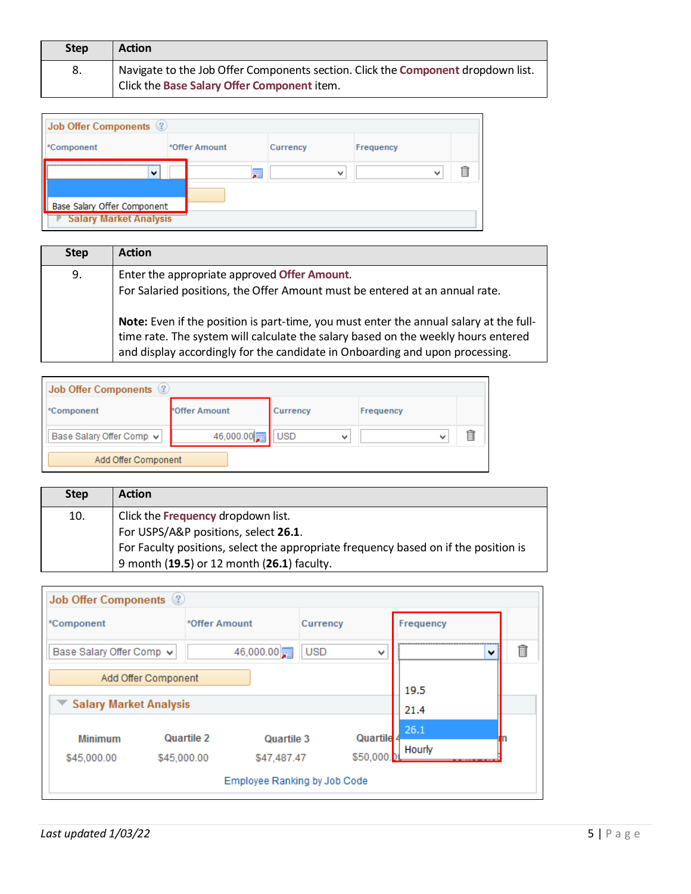| <b>Step</b> | <b>Action</b>                                                                                                                   |
|-------------|---------------------------------------------------------------------------------------------------------------------------------|
| 8.          | Navigate to the Job Offer Components section. Click the Component dropdown list.<br>Click the Base Salary Offer Component item. |

| Job Offer Components (2)      |  |               |              |           |  |  |
|-------------------------------|--|---------------|--------------|-----------|--|--|
| *Component                    |  | *Offer Amount | Currency     | Frequency |  |  |
| $\checkmark$                  |  | 駟             | $\checkmark$ | M         |  |  |
|                               |  |               |              |           |  |  |
| Base Salary Offer Component   |  |               |              |           |  |  |
| <b>Salary Market Analysis</b> |  |               |              |           |  |  |

| <b>Step</b> | <b>Action</b>                                                                          |
|-------------|----------------------------------------------------------------------------------------|
| 9.          | Enter the appropriate approved Offer Amount.                                           |
|             | For Salaried positions, the Offer Amount must be entered at an annual rate.            |
|             | Note: Even if the position is part-time, you must enter the annual salary at the full- |
|             | time rate. The system will calculate the salary based on the weekly hours entered      |
|             | and display accordingly for the candidate in Onboarding and upon processing.           |

| Job Offer Components (2) |               |                                        |           |  |  |  |  |
|--------------------------|---------------|----------------------------------------|-----------|--|--|--|--|
| *Component               | *Offer Amount | Currency                               | Frequency |  |  |  |  |
| Base Salary Offer Comp v | 46,000.00     | <b>USD</b><br>$\overline{\phantom{a}}$ |           |  |  |  |  |
| Add Offer Component      |               |                                        |           |  |  |  |  |

| <b>Step</b> | <b>Action</b>                                                                       |
|-------------|-------------------------------------------------------------------------------------|
| 10.         | Click the Frequency dropdown list.                                                  |
|             | For USPS/A&P positions, select 26.1.                                                |
|             | For Faculty positions, select the appropriate frequency based on if the position is |
|             | 9 month (19.5) or 12 month (26.1) faculty.                                          |

| <b>Job Offer Components</b> 2 |                               |          |           |  |  |  |  |
|-------------------------------|-------------------------------|----------|-----------|--|--|--|--|
| *Component                    | *Offer Amount                 | Currency | Frequency |  |  |  |  |
| Base Salary Offer Comp v      | 46,000.00<br><b>USD</b><br>v  |          |           |  |  |  |  |
| Add Offer Component           |                               |          | 19.5      |  |  |  |  |
|                               | <b>Salary Market Analysis</b> |          |           |  |  |  |  |
| Quartile 2<br><b>Minimum</b>  | 26.1<br>Quartile              |          |           |  |  |  |  |
| \$45,000.00                   | \$45,000.00<br>\$47,487.47    | \$50,000 | Hourly    |  |  |  |  |
| Employee Ranking by Job Code  |                               |          |           |  |  |  |  |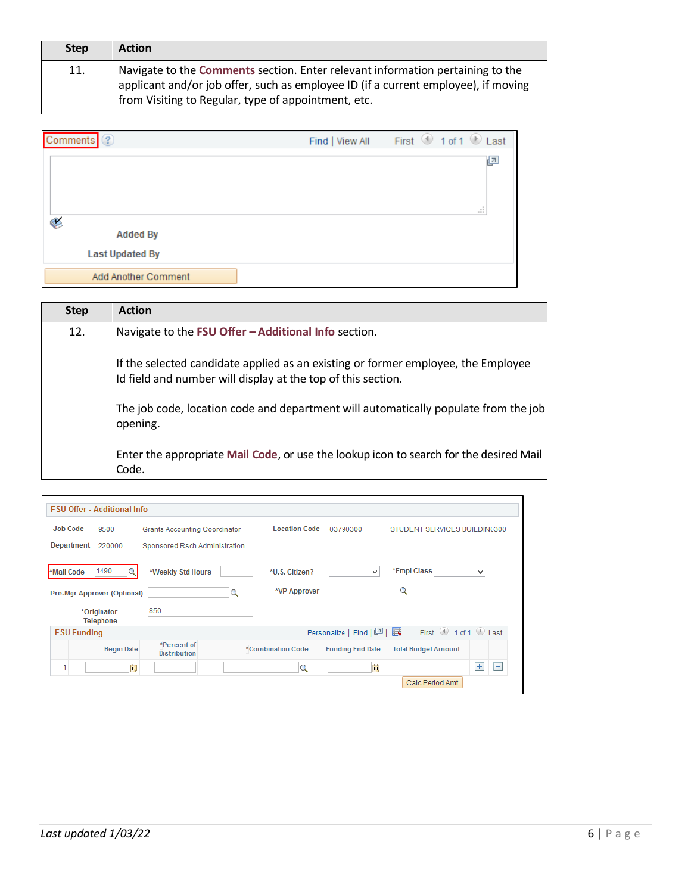| <b>Step</b> | <b>Action</b>                                                                                                                                                                                                               |
|-------------|-----------------------------------------------------------------------------------------------------------------------------------------------------------------------------------------------------------------------------|
| 11.         | Navigate to the Comments section. Enter relevant information pertaining to the<br>applicant and/or job offer, such as employee ID (if a current employee), if moving<br>from Visiting to Regular, type of appointment, etc. |

| Comments <sup>2</sup>  | Find   View All | First 1 of 1 D Last |
|------------------------|-----------------|---------------------|
|                        |                 | 년<br>аř.            |
| ¢<br><b>Added By</b>   |                 |                     |
| <b>Last Updated By</b> |                 |                     |
| Add Another Comment    |                 |                     |

| <b>Step</b> | <b>Action</b>                                                                                                                                     |
|-------------|---------------------------------------------------------------------------------------------------------------------------------------------------|
| 12.         | Navigate to the FSU Offer - Additional Info section.                                                                                              |
|             | If the selected candidate applied as an existing or former employee, the Employee<br>Id field and number will display at the top of this section. |
|             | The job code, location code and department will automatically populate from the job<br>opening.                                                   |
|             | Enter the appropriate Mail Code, or use the lookup icon to search for the desired Mail<br>Code.                                                   |

|                                 | <b>FSU Offer - Additional Info</b>   |   |                      |                         |                                                                                                             |                       |  |  |
|---------------------------------|--------------------------------------|---|----------------------|-------------------------|-------------------------------------------------------------------------------------------------------------|-----------------------|--|--|
| <b>Job Code</b><br>9500         | <b>Grants Accounting Coordinator</b> |   | <b>Location Code</b> | 03790300                | STUDENT SERVICES BUILDIN0300                                                                                |                       |  |  |
| <b>Department</b><br>220000     | Sponsored Rsch Administration        |   |                      |                         |                                                                                                             |                       |  |  |
| 1490<br>*Mail Code              | *Weekly Std Hours                    |   | *U.S. Citizen?       | $\mathbf{v}$            | *Empl Class                                                                                                 | ٧                     |  |  |
| Pre-Mgr Approver (Optional)     |                                      | Q | *VP Approver         |                         | Q                                                                                                           |                       |  |  |
| *Originator<br><b>Telephone</b> | 850                                  |   |                      |                         |                                                                                                             |                       |  |  |
| <b>FSU Funding</b>              |                                      |   |                      | Personalize   Find   2  | First $\textcircled{\tiny{\textcircled{\tiny 1}}}$ 1 of 1 $\textcircled{\tiny{\textcircled{\tiny 1}}}$ Last |                       |  |  |
| <b>Begin Date</b>               | *Percent of<br><b>Distribution</b>   |   | *Combination Code    | <b>Funding End Date</b> | <b>Total Budget Amount</b>                                                                                  |                       |  |  |
| и                               | ij                                   |   | O                    | FJ                      |                                                                                                             | $+$<br>$\overline{ }$ |  |  |
|                                 |                                      |   |                      |                         | Calc Period Amt                                                                                             |                       |  |  |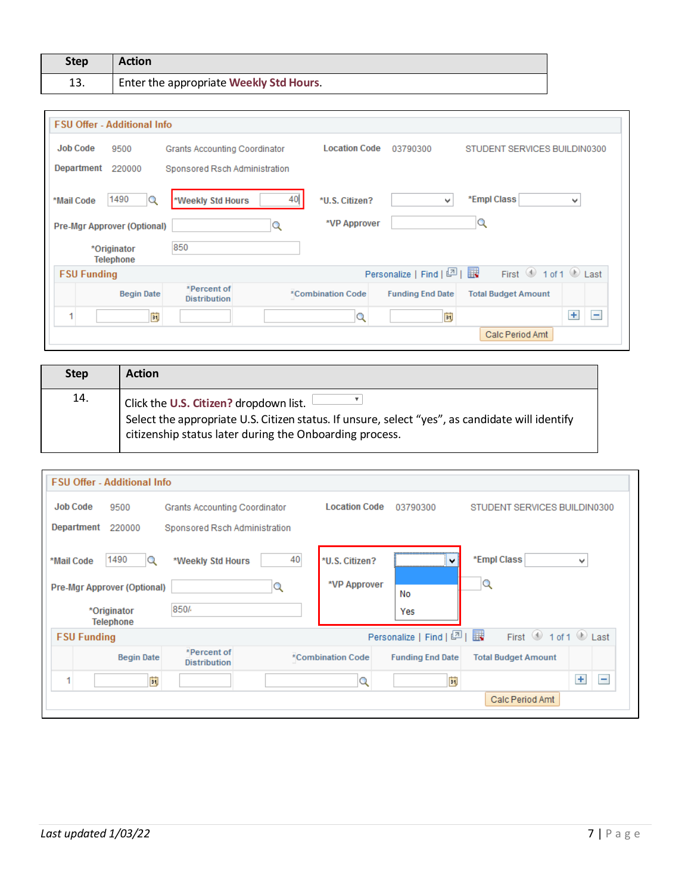| <b>Step</b> | <b>Action</b>                                        |
|-------------|------------------------------------------------------|
| 13.         | <sup>1</sup> Enter the appropriate Weekly Std Hours. |

| <b>FSU Offer - Additional Info</b>                     |                                                                                         |                      |                            |                              |  |  |  |
|--------------------------------------------------------|-----------------------------------------------------------------------------------------|----------------------|----------------------------|------------------------------|--|--|--|
| <b>Job Code</b><br>9500                                | <b>Grants Accounting Coordinator</b>                                                    | <b>Location Code</b> | 03790300                   | STUDENT SERVICES BUILDIN0300 |  |  |  |
| Department<br>220000                                   | Sponsored Rsch Administration                                                           |                      |                            |                              |  |  |  |
| 1490<br>*Mail Code<br>Q<br>Pre-Mgr Approver (Optional) | *Empl Class<br>40<br>*Weekly Std Hours<br>*U.S. Citizen?<br>v<br>v<br>*VP Approver<br>Q |                      |                            |                              |  |  |  |
| *Originator<br>Telephone                               | 850                                                                                     |                      |                            |                              |  |  |  |
| <b>FSU Funding</b>                                     |                                                                                         |                      | Personalize   Find   2   표 | First 1 of 1 D Last          |  |  |  |
| <b>Begin Date</b>                                      | *Percent of<br><b>Distribution</b>                                                      | *Combination Code    | <b>Funding End Date</b>    | <b>Total Budget Amount</b>   |  |  |  |
| ö                                                      |                                                                                         | Q                    | li)                        | $+$<br>۰                     |  |  |  |
|                                                        | Calc Period Amt                                                                         |                      |                            |                              |  |  |  |

| <b>Step</b> | <b>Action</b>                                                                                                                                                                                        |
|-------------|------------------------------------------------------------------------------------------------------------------------------------------------------------------------------------------------------|
| 14.         | Click the U.S. Citizen? dropdown list.<br>Select the appropriate U.S. Citizen status. If unsure, select "yes", as candidate will identify<br>citizenship status later during the Onboarding process. |

| <b>FSU Offer - Additional Info</b>                       |                                                                                                                  |                |                        |                     |  |  |
|----------------------------------------------------------|------------------------------------------------------------------------------------------------------------------|----------------|------------------------|---------------------|--|--|
| <b>Job Code</b><br>9500<br>Grants Accounting Coordinator | STUDENT SERVICES BUILDIN0300                                                                                     |                |                        |                     |  |  |
| <b>Department</b><br>220000                              | Sponsored Rsch Administration                                                                                    |                |                        |                     |  |  |
| 1490<br>*Mail Code<br>Q                                  | 40<br>*Weekly Std Hours                                                                                          | *U.S. Citizen? | $\checkmark$           | *Empl Class<br>v    |  |  |
| Pre-Mgr Approver (Optional)                              | Q                                                                                                                | *VP Approver   | No                     | Q                   |  |  |
| *Originator<br><b>Telephone</b>                          | 850/                                                                                                             |                | Yes                    |                     |  |  |
| <b>FSU Funding</b>                                       |                                                                                                                  |                | Personalize   Find   2 | First 1 of 1 2 Last |  |  |
| <b>Begin Date</b>                                        | *Percent of<br>*Combination Code<br><b>Funding End Date</b><br><b>Total Budget Amount</b><br><b>Distribution</b> |                |                        |                     |  |  |
| ö                                                        |                                                                                                                  | Q              | E                      | $+$<br>E            |  |  |
| Calc Period Amt                                          |                                                                                                                  |                |                        |                     |  |  |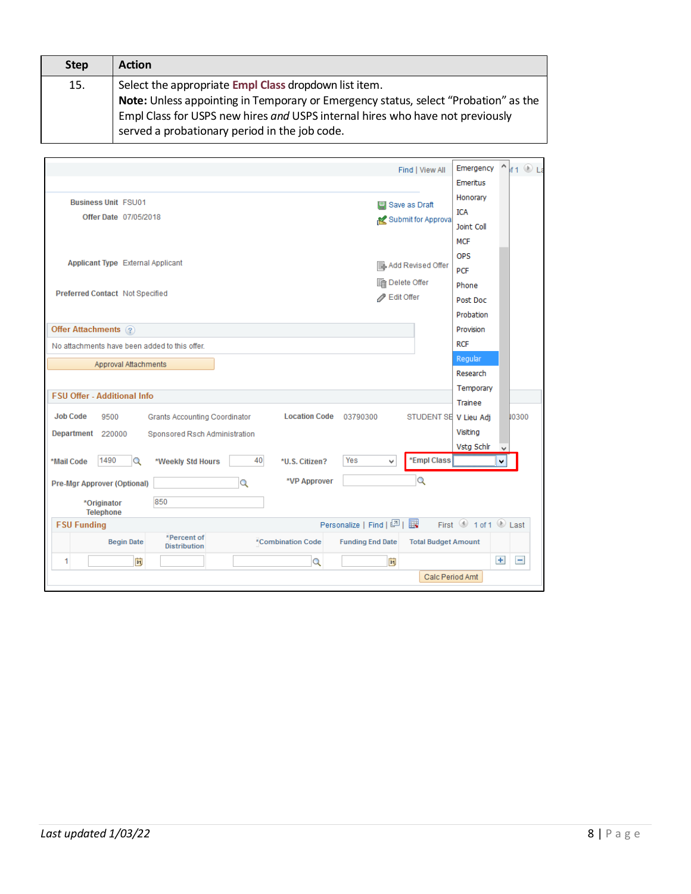| <b>Step</b> | <b>Action</b>                                                                                                                                                                                                         |
|-------------|-----------------------------------------------------------------------------------------------------------------------------------------------------------------------------------------------------------------------|
| 15.         | Select the appropriate Empl Class dropdown list item.                                                                                                                                                                 |
|             | Note: Unless appointing in Temporary or Emergency status, select "Probation" as the<br>Empl Class for USPS new hires and USPS internal hires who have not previously<br>served a probationary period in the job code. |

|                                                                                         | Emergency<br>Λ<br>$f1 \circ L2$<br>Find   View All    |
|-----------------------------------------------------------------------------------------|-------------------------------------------------------|
|                                                                                         | Emeritus                                              |
| <b>Business Unit FSU01</b>                                                              | Honorary<br><b>国 Save as Draft</b>                    |
| Offer Date 07/05/2018                                                                   | <b>ICA</b><br>Submit for Approval                     |
|                                                                                         | Joint Coll                                            |
|                                                                                         | <b>MCF</b>                                            |
| <b>Applicant Type External Applicant</b>                                                | <b>OPS</b>                                            |
|                                                                                         | <b>Add Revised Offer</b><br><b>PCF</b>                |
|                                                                                         | <b>nd</b> Delete Offer<br>Phone                       |
| Preferred Contact Not Specified                                                         | Bdit Offer<br>Post Doc                                |
|                                                                                         | Probation                                             |
| Offer Attachments ?                                                                     | Provision                                             |
| No attachments have been added to this offer.                                           | <b>RCF</b>                                            |
| Approval Attachments                                                                    | Regular                                               |
|                                                                                         | Research                                              |
| <b>FSU Offer - Additional Info</b>                                                      | Temporary                                             |
|                                                                                         | Trainee                                               |
| <b>Job Code</b><br><b>Location Code</b><br>9500<br><b>Grants Accounting Coordinator</b> | STUDENT SE V Lieu Adj<br>10300<br>03790300            |
| Department 220000<br>Sponsored Rsch Administration                                      | Visiting                                              |
|                                                                                         | Vsta Schlr<br>v                                       |
| 1490<br>40<br>*Mail Code<br>Q<br>*U.S. Citizen?<br>*Weekly Std Hours                    | *Empl Class<br>Yes<br>v<br>٧<br>                      |
| *VP Approver<br>Q<br>Pre-Mgr Approver (Optional)                                        | Q                                                     |
| 850<br>*Originator<br><b>Telephone</b>                                                  |                                                       |
| <b>FSU Funding</b>                                                                      | First 1 of 1 2 Last<br>Personalize   Find   四   眼     |
| *Percent of<br><b>Begin Date</b><br>*Combination Code<br><b>Distribution</b>            | <b>Funding End Date</b><br><b>Total Budget Amount</b> |
| Ħ<br>1<br>Q                                                                             | $+$<br>$\overline{ }$<br>間                            |
|                                                                                         | Calc Period Amt                                       |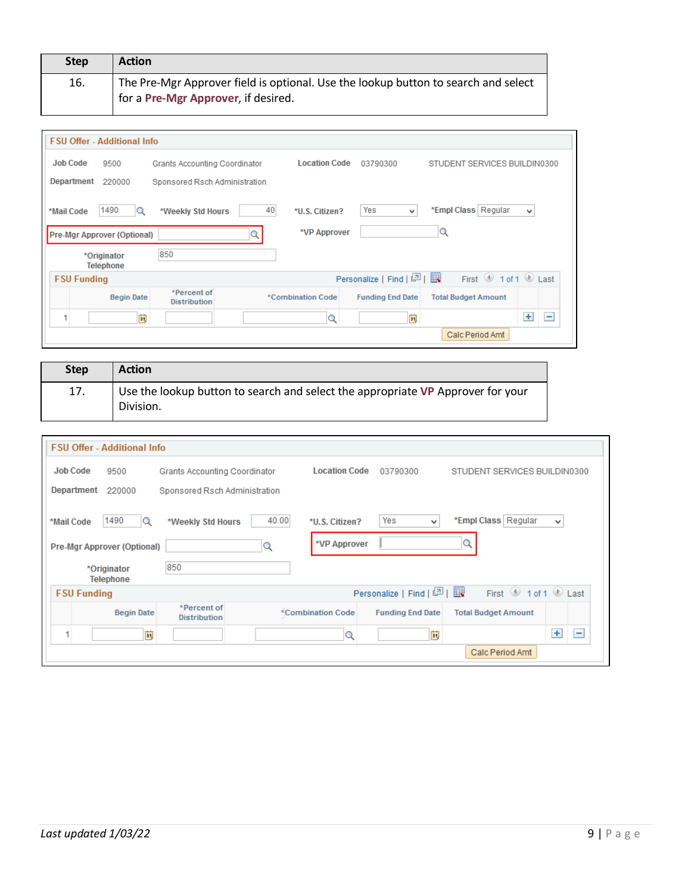| <b>Step</b> | <b>Action</b>                                                                                                             |
|-------------|---------------------------------------------------------------------------------------------------------------------------|
| 16.         | The Pre-Mgr Approver field is optional. Use the lookup button to search and select<br>for a Pre-Mgr Approver, if desired. |

|                    | <b>FSU Offer - Additional Info</b> |                                      |    |                      |                         |                              |          |
|--------------------|------------------------------------|--------------------------------------|----|----------------------|-------------------------|------------------------------|----------|
| <b>Job Code</b>    | 9500                               | <b>Grants Accounting Coordinator</b> |    | <b>Location Code</b> | 03790300                | STUDENT SERVICES BUILDIN0300 |          |
| Department         | 220000                             | Sponsored Rsch Administration        |    |                      |                         |                              |          |
| *Mail Code         | 1490<br>Q                          | *Weekly Std Hours                    | 40 | *U.S. Citizen?       | Yes<br>$\mathbf{v}$     | *Empl Class   Regular        | v        |
|                    | <b>Pre-Mgr Approver (Optional)</b> |                                      |    | *VP Approver         |                         | Q                            |          |
|                    | *Originator<br><b>Telephone</b>    | 850                                  |    |                      |                         |                              |          |
| <b>FSU Funding</b> |                                    |                                      |    |                      | Personalize   Find   2  | First 1 of 1 D Last          |          |
|                    | <b>Begin Date</b>                  | *Percent of<br><b>Distribution</b>   |    | *Combination Code    | <b>Funding End Date</b> | <b>Total Budget Amount</b>   |          |
|                    | ö                                  |                                      |    | Q                    | ËĴ                      |                              | $+$<br>÷ |
|                    |                                    |                                      |    |                      |                         | Calc Period Amt              |          |

| <b>Step</b> | <b>Action</b>                                                                                |
|-------------|----------------------------------------------------------------------------------------------|
| 17.         | Use the lookup button to search and select the appropriate VP Approver for your<br>Division. |

| <b>FSU Offer - Additional Info</b>                                                                                                    |                               |                      |                        |                                                                                                             |  |
|---------------------------------------------------------------------------------------------------------------------------------------|-------------------------------|----------------------|------------------------|-------------------------------------------------------------------------------------------------------------|--|
| <b>Job Code</b><br>9500                                                                                                               | Grants Accounting Coordinator | <b>Location Code</b> | 03790300               | STUDENT SERVICES BUILDIN0300                                                                                |  |
| Department<br>220000                                                                                                                  | Sponsored Rsch Administration |                      |                        |                                                                                                             |  |
| 1490<br>*Mail Code<br>Q                                                                                                               | 40.00<br>*Weekly Std Hours    | *U.S. Citizen?       | Yes<br>v               | *Empl Class   Regular<br>v                                                                                  |  |
| Pre-Mgr Approver (Optional)                                                                                                           | Q                             | *VP Approver         |                        | Q                                                                                                           |  |
| *Originator<br><b>Telephone</b>                                                                                                       | 850                           |                      |                        |                                                                                                             |  |
| <b>FSU Funding</b>                                                                                                                    |                               |                      | Personalize   Find   2 | First $\textcircled{\tiny{\textcircled{\tiny 1}}}$ 1 of 1 $\textcircled{\tiny{\textcircled{\tiny 1}}}$ Last |  |
| *Percent of<br>*Combination Code<br><b>Begin Date</b><br><b>Funding End Date</b><br><b>Total Budget Amount</b><br><b>Distribution</b> |                               |                      |                        |                                                                                                             |  |
| ü<br>1                                                                                                                                |                               | Q                    | ĖŲ                     | $+$<br>$\equiv$                                                                                             |  |
| Calc Period Amt                                                                                                                       |                               |                      |                        |                                                                                                             |  |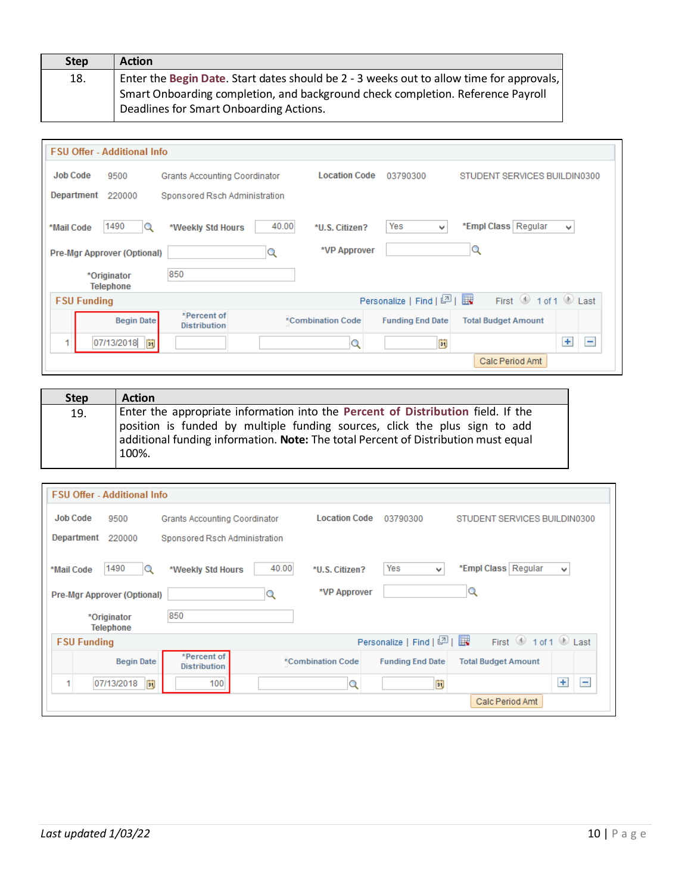| <b>Step</b> | <b>Action</b>                                                                                                                                                                                                          |
|-------------|------------------------------------------------------------------------------------------------------------------------------------------------------------------------------------------------------------------------|
| 18.         | Enter the Begin Date. Start dates should be 2 - 3 weeks out to allow time for approvals,<br>Smart Onboarding completion, and background check completion. Reference Payroll<br>Deadlines for Smart Onboarding Actions. |

| <b>FSU Offer - Additional Info</b>                                                                                                    |                               |                      |                            |                                         |  |  |
|---------------------------------------------------------------------------------------------------------------------------------------|-------------------------------|----------------------|----------------------------|-----------------------------------------|--|--|
| <b>Job Code</b><br>9500                                                                                                               | Grants Accounting Coordinator | <b>Location Code</b> | 03790300                   | STUDENT SERVICES BUILDIN0300            |  |  |
| Department<br>220000                                                                                                                  | Sponsored Rsch Administration |                      |                            |                                         |  |  |
| 1490<br>*Mail Code<br>Q                                                                                                               | 40.00<br>*Weekly Std Hours    | *U.S. Citizen?       | Yes<br>v                   | *Empl Class   Regular<br>٧              |  |  |
| Pre-Mgr Approver (Optional)                                                                                                           |                               | *VP Approver         |                            | $\mathbf Q$                             |  |  |
| *Originator<br><b>Telephone</b>                                                                                                       | 850                           |                      |                            |                                         |  |  |
| <b>FSU Funding</b>                                                                                                                    |                               |                      | Personalize   Find   2   표 | First $\bigcirc$ 1 of 1 $\bigcirc$ Last |  |  |
| *Percent of<br><b>Begin Date</b><br>*Combination Code<br><b>Funding End Date</b><br><b>Total Budget Amount</b><br><b>Distribution</b> |                               |                      |                            |                                         |  |  |
| 07/13/2018   前                                                                                                                        |                               | Q                    | 閩                          | $+$<br>$\equiv$                         |  |  |
| Calc Period Amt                                                                                                                       |                               |                      |                            |                                         |  |  |

| <b>Step</b> | <b>Action</b>                                                                                                                                                             |
|-------------|---------------------------------------------------------------------------------------------------------------------------------------------------------------------------|
| 19.         | Enter the appropriate information into the Percent of Distribution field. If the                                                                                          |
|             | position is funded by multiple funding sources, click the plus sign to add<br>additional funding information. Note: The total Percent of Distribution must equal<br>100%. |

|                                                        | <b>FSU Offer - Additional Info</b>   |                                |                         |                                         |            |  |  |
|--------------------------------------------------------|--------------------------------------|--------------------------------|-------------------------|-----------------------------------------|------------|--|--|
| <b>Job Code</b><br>9500                                | <b>Grants Accounting Coordinator</b> | <b>Location Code</b>           | 03790300                | STUDENT SERVICES BUILDIN0300            |            |  |  |
| Department<br>220000                                   | Sponsored Rsch Administration        |                                |                         |                                         |            |  |  |
| 1490<br>*Mail Code<br>Q<br>Pre-Mgr Approver (Optional) | 40.00<br>*Weekly Std Hours           | *U.S. Citizen?<br>*VP Approver | Yes<br>v                | *Empl Class   Regular<br>Q              | ٧          |  |  |
| *Originator<br><b>Telephone</b>                        | 850                                  |                                |                         |                                         |            |  |  |
| <b>FSU Funding</b>                                     |                                      |                                | Personalize   Find   2  | First $\bigcirc$ 1 of 1 $\bigcirc$ Last |            |  |  |
| <b>Begin Date</b>                                      | *Percent of<br><b>Distribution</b>   | *Combination Code              | <b>Funding End Date</b> | <b>Total Budget Amount</b>              |            |  |  |
| ÞJ<br>07/13/2018                                       | 100                                  | Q                              | E)                      |                                         | $\pm$<br>E |  |  |
|                                                        |                                      |                                |                         | Calc Period Amt                         |            |  |  |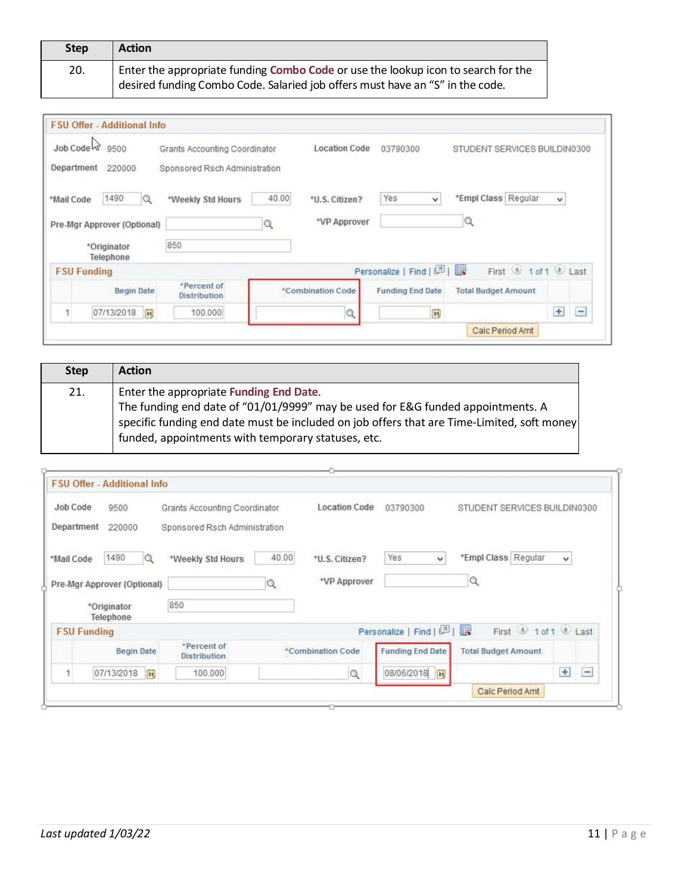| <b>Step</b> | <b>Action</b>                                                                                                                                                      |
|-------------|--------------------------------------------------------------------------------------------------------------------------------------------------------------------|
| 20.         | Enter the appropriate funding Combo Code or use the lookup icon to search for the<br>desired funding Combo Code. Salaried job offers must have an "S" in the code. |

| Job Code   | 9500                        | Grants Accounting Coordinator      |       | <b>Location Code</b> | 03790300                   | STUDENT SERVICES BUILDIN0300 |                 |
|------------|-----------------------------|------------------------------------|-------|----------------------|----------------------------|------------------------------|-----------------|
| Department | 220000                      | Sponsored Rsch Administration      |       |                      |                            |                              |                 |
| *Mail Code | 1490<br>Q                   | *Weekly Std Hours                  | 40.00 | *U.S. Citizen?       | <b>Yes</b><br>$\checkmark$ | *Empl Class Regular          | v               |
|            | Pre-Mgr Approver (Optional) |                                    | Q     | *VP Approver         |                            | Q                            |                 |
|            | *Originator<br>Telephone    | 850                                |       |                      |                            |                              |                 |
|            | <b>FSU Funding</b>          |                                    |       |                      | Personalize   Find   2     | First 1 of 1 2 Last          |                 |
|            | <b>Begin Date</b>           | *Percent of<br><b>Distribution</b> |       | *Combination Code    | <b>Funding End Date</b>    | <b>Total Budget Amount</b>   |                 |
|            | 07/13/2018<br>31,           | 100,000                            |       | $\mathcal{Q}$        | $\overline{\mathbf{31}}$   |                              | $+$<br>$\equiv$ |
|            |                             |                                    |       |                      |                            |                              |                 |

| <b>Step</b> | <b>Action</b>                                                                              |
|-------------|--------------------------------------------------------------------------------------------|
| 21.         | Enter the appropriate Funding End Date.                                                    |
|             | The funding end date of "01/01/9999" may be used for E&G funded appointments. A            |
|             | specific funding end date must be included on job offers that are Time-Limited, soft money |
|             | funded, appointments with temporary statuses, etc.                                         |

| Job Code<br>9500                                 | Grants Accounting Coordinator      |       | <b>Location Code</b> | 03790300                | STUDENT SERVICES BUILDIN0300 |              |
|--------------------------------------------------|------------------------------------|-------|----------------------|-------------------------|------------------------------|--------------|
| Department<br>220000                             | Sponsored Rsch Administration      |       |                      |                         |                              |              |
| 1490<br>*Mail Code<br>Q                          | *Weekly Std Hours                  | 40.00 | *U.S. Citizen?       | Yes<br>v                | *Empl Class Regular          | $\checkmark$ |
|                                                  |                                    |       |                      |                         |                              |              |
|                                                  |                                    |       | *VP Approver         |                         | $\alpha$                     |              |
| *Originator<br><b>Telephone</b>                  | 850                                |       |                      |                         |                              |              |
| <b>FSU Funding</b>                               |                                    |       |                      | Personalize   Find   2  | First 1 of 1 Last            |              |
| Pre-Mgr Approver (Optional)<br><b>Begin Date</b> | *Percent of<br><b>Distribution</b> |       | *Combination Code    | <b>Funding End Date</b> | <b>Total Budget Amount</b>   |              |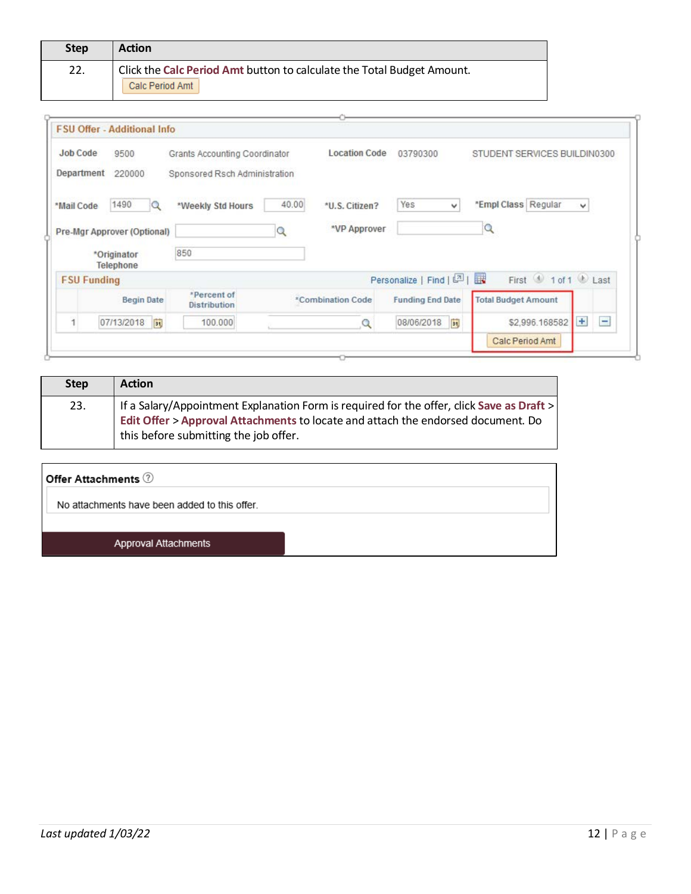| <b>Step</b> | <b>Action</b>                                                          |
|-------------|------------------------------------------------------------------------|
| 22.         | Click the Calc Period Amt button to calculate the Total Budget Amount. |
|             | Calc Period Amt                                                        |

| Job Code           | 9500                          | Grants Accounting Coordinator      |       | <b>Location Code</b> | 03790300                | STUDENT SERVICES BUILDIN0300 |        |
|--------------------|-------------------------------|------------------------------------|-------|----------------------|-------------------------|------------------------------|--------|
| Department         | 220000                        | Sponsored Rsch Administration      |       |                      |                         |                              |        |
| *Mail Code         | 1490                          | *Weekly Std Hours                  | 40.00 | *U.S. Citizen?       | Yes<br>v                | *Empl Class Regular          | ٧      |
|                    | Pre-Mgr Approver (Optional)   |                                    |       | *VP Approver         |                         | $\alpha$                     |        |
|                    | *Originator                   | 850                                |       |                      |                         |                              |        |
|                    | Telephone                     |                                    |       |                      |                         |                              |        |
| <b>FSU Funding</b> |                               |                                    |       |                      | Personalize   Find   2  | First 1 of 1 Last            |        |
|                    | <b>Begin Date</b>             | *Percent of<br><b>Distribution</b> |       | *Combination Code    | <b>Funding End Date</b> | <b>Total Budget Amount</b>   |        |
|                    | $\overline{30}$<br>07/13/2018 | 100,000                            |       | Q                    | E<br>08/06/2018         | \$2,996.168582               | Ŧ<br>Ξ |

| <b>Step</b> | <b>Action</b>                                                                                                                                                                                                          |
|-------------|------------------------------------------------------------------------------------------------------------------------------------------------------------------------------------------------------------------------|
| 23.         | If a Salary/Appointment Explanation Form is required for the offer, click Save as Draft ><br>Edit Offer > Approval Attachments to locate and attach the endorsed document. Do<br>this before submitting the job offer. |

### Offer Attachments  $\circled?$

No attachments have been added to this offer.

Approval Attachments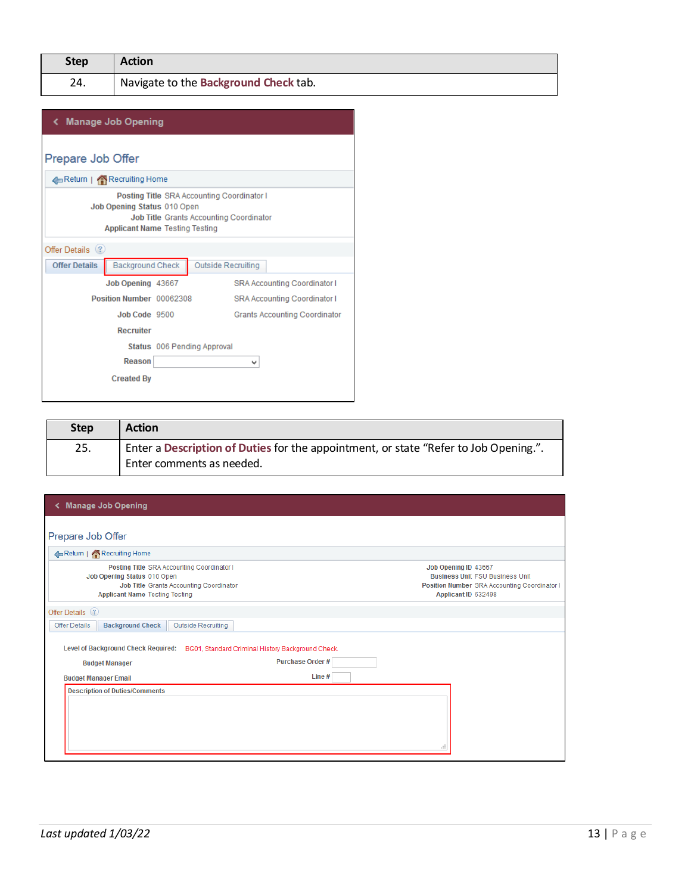|                                                                                                                                                                      | く Manage Job Opening     |  |                                     |                                      |  |  |  |  |
|----------------------------------------------------------------------------------------------------------------------------------------------------------------------|--------------------------|--|-------------------------------------|--------------------------------------|--|--|--|--|
|                                                                                                                                                                      | Prepare Job Offer        |  |                                     |                                      |  |  |  |  |
|                                                                                                                                                                      | Return   Recruiting Home |  |                                     |                                      |  |  |  |  |
| Posting Title SRA Accounting Coordinator I<br>Job Opening Status 010 Open<br><b>Job Title Grants Accounting Coordinator</b><br><b>Applicant Name Testing Testing</b> |                          |  |                                     |                                      |  |  |  |  |
| Offer Details (?)                                                                                                                                                    |                          |  |                                     |                                      |  |  |  |  |
| <b>Offer Details</b>                                                                                                                                                 | <b>Background Check</b>  |  | Outside Recruiting                  |                                      |  |  |  |  |
|                                                                                                                                                                      | Job Opening 43667        |  |                                     | <b>SRA Accounting Coordinator I</b>  |  |  |  |  |
|                                                                                                                                                                      | Position Number 00062308 |  | <b>SRA Accounting Coordinator I</b> |                                      |  |  |  |  |
|                                                                                                                                                                      | Job Code 9500            |  |                                     | <b>Grants Accounting Coordinator</b> |  |  |  |  |
|                                                                                                                                                                      | <b>Recruiter</b>         |  |                                     |                                      |  |  |  |  |
|                                                                                                                                                                      |                          |  | Status 006 Pending Approval         |                                      |  |  |  |  |
|                                                                                                                                                                      | Reason                   |  | v                                   |                                      |  |  |  |  |
|                                                                                                                                                                      | <b>Created By</b>        |  |                                     |                                      |  |  |  |  |

| <b>Step</b> | <b>Action</b>                                                                                                     |
|-------------|-------------------------------------------------------------------------------------------------------------------|
| 25.         | Enter a Description of Duties for the appointment, or state "Refer to Job Opening.".<br>Enter comments as needed. |

| <b>Manage Job Opening</b>                                                                                                                                     |                                                   |                                                                                                                                       |
|---------------------------------------------------------------------------------------------------------------------------------------------------------------|---------------------------------------------------|---------------------------------------------------------------------------------------------------------------------------------------|
| Prepare Job Offer                                                                                                                                             |                                                   |                                                                                                                                       |
| Return   Recruiting Home                                                                                                                                      |                                                   |                                                                                                                                       |
| Posting Title SRA Accounting Coordinator I<br>Job Opening Status 010 Open<br>Job Title Grants Accounting Coordinator<br><b>Applicant Name Testing Testing</b> |                                                   | Job Opening ID 43667<br><b>Business Unit FSU Business Unit</b><br>Position Number SRA Accounting Coordinator I<br>Applicant ID 632498 |
| Offer Details (?)                                                                                                                                             |                                                   |                                                                                                                                       |
| <b>Background Check</b><br><b>Outside Recruiting</b><br><b>Offer Details</b>                                                                                  |                                                   |                                                                                                                                       |
| <b>Level of Background Check Required:</b>                                                                                                                    | BG01, Standard Criminal History Background Check. |                                                                                                                                       |
| <b>Budget Manager</b>                                                                                                                                         | <b>Purchase Order#</b>                            |                                                                                                                                       |
| <b>Budget Manager Email</b>                                                                                                                                   | Line#                                             |                                                                                                                                       |
| <b>Description of Duties/Comments</b>                                                                                                                         |                                                   |                                                                                                                                       |
|                                                                                                                                                               |                                                   |                                                                                                                                       |
|                                                                                                                                                               |                                                   |                                                                                                                                       |
|                                                                                                                                                               |                                                   |                                                                                                                                       |
|                                                                                                                                                               |                                                   |                                                                                                                                       |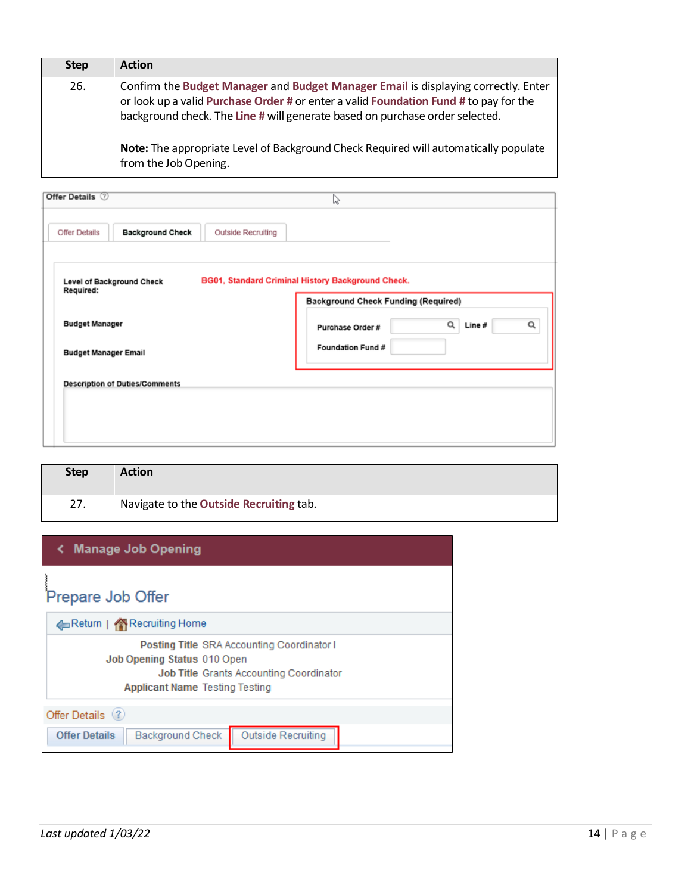| <b>Step</b> | <b>Action</b>                                                                                                                                                                                                                                               |
|-------------|-------------------------------------------------------------------------------------------------------------------------------------------------------------------------------------------------------------------------------------------------------------|
| 26.         | Confirm the Budget Manager and Budget Manager Email is displaying correctly. Enter<br>or look up a valid Purchase Order # or enter a valid Foundation Fund # to pay for the<br>background check. The Line # will generate based on purchase order selected. |
|             | Note: The appropriate Level of Background Check Required will automatically populate<br>from the Job Opening.                                                                                                                                               |

| Offer Details (?)                             |                         |                           | じ                                                                                               |             |   |
|-----------------------------------------------|-------------------------|---------------------------|-------------------------------------------------------------------------------------------------|-------------|---|
| <b>Offer Details</b>                          | <b>Background Check</b> | <b>Outside Recruiting</b> |                                                                                                 |             |   |
| <b>Level of Background Check</b><br>Required: |                         |                           | BG01, Standard Criminal History Background Check.<br><b>Background Check Funding (Required)</b> |             |   |
| <b>Budget Manager</b>                         |                         |                           | Purchase Order #                                                                                | Q<br>Line # | Q |
| <b>Budget Manager Email</b>                   |                         |                           | Foundation Fund #                                                                               |             |   |
| <b>Description of Duties/Comments</b>         |                         |                           |                                                                                                 |             |   |
|                                               |                         |                           |                                                                                                 |             |   |
|                                               |                         |                           |                                                                                                 |             |   |

| <b>Step</b> | <b>Action</b>                           |
|-------------|-----------------------------------------|
| 27.         | Navigate to the Outside Recruiting tab. |

| ← Manage Job Opening                                                                                                                                                 |
|----------------------------------------------------------------------------------------------------------------------------------------------------------------------|
| Prepare Job Offer                                                                                                                                                    |
| Return   Recruiting Home                                                                                                                                             |
| Posting Title SRA Accounting Coordinator I<br>Job Opening Status 010 Open<br><b>Job Title Grants Accounting Coordinator</b><br><b>Applicant Name Testing Testing</b> |
| Offer Details (?)                                                                                                                                                    |
| <b>Offer Details</b><br><b>Background Check</b><br>Outside Recruiting                                                                                                |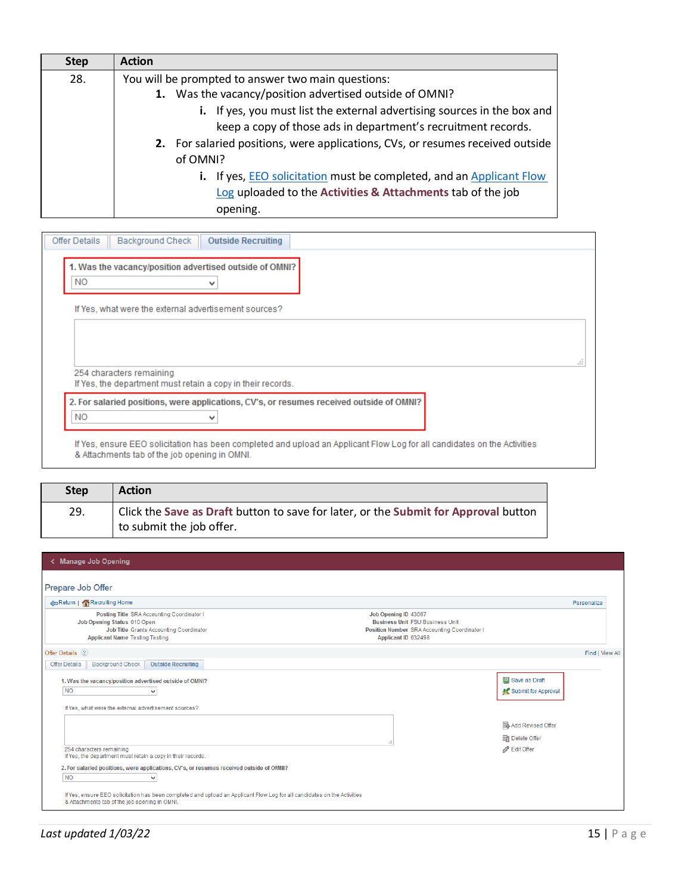| <b>Step</b> | <b>Action</b>                                                                  |
|-------------|--------------------------------------------------------------------------------|
| 28.         | You will be prompted to answer two main questions:                             |
|             | 1. Was the vacancy/position advertised outside of OMNI?                        |
|             | i. If yes, you must list the external advertising sources in the box and       |
|             | keep a copy of those ads in department's recruitment records.                  |
|             | 2. For salaried positions, were applications, CVs, or resumes received outside |
|             | of OMNI?                                                                       |
|             | i. If yes, EEO solicitation must be completed, and an Applicant Flow           |
|             | Log uploaded to the Activities & Attachments tab of the job                    |
|             | opening.                                                                       |

| Offer Details  | Background Check                                                                        | <b>Outside Recruiting</b> |                                                                                                                          |  |  |
|----------------|-----------------------------------------------------------------------------------------|---------------------------|--------------------------------------------------------------------------------------------------------------------------|--|--|
| N <sub>O</sub> | 1. Was the vacancy/position advertised outside of OMNI?                                 |                           |                                                                                                                          |  |  |
|                | If Yes, what were the external advertisement sources?                                   |                           |                                                                                                                          |  |  |
|                | 254 characters remaining<br>If Yes, the department must retain a copy in their records. |                           |                                                                                                                          |  |  |
| <b>NO</b>      |                                                                                         |                           | 2. For salaried positions, were applications, CV's, or resumes received outside of OMNI?                                 |  |  |
|                | & Attachments tab of the job opening in OMNI.                                           |                           | If Yes, ensure EEO solicitation has been completed and upload an Applicant Flow Log for all candidates on the Activities |  |  |

| <b>Step</b> | <b>Action</b>                                                                       |
|-------------|-------------------------------------------------------------------------------------|
| 29.         | Click the Save as Draft button to save for later, or the Submit for Approval button |
|             | to submit the job offer.                                                            |

| < Manage Job Opening                                                                                                                                                                                                                                                                                    |                                                                                                                                       |                                                           |                 |
|---------------------------------------------------------------------------------------------------------------------------------------------------------------------------------------------------------------------------------------------------------------------------------------------------------|---------------------------------------------------------------------------------------------------------------------------------------|-----------------------------------------------------------|-----------------|
| Prepare Job Offer                                                                                                                                                                                                                                                                                       |                                                                                                                                       |                                                           |                 |
| Return   Recruiting Home                                                                                                                                                                                                                                                                                |                                                                                                                                       |                                                           | Personalize     |
| Posting Title SRA Accounting Coordinator I<br>Job Opening Status 010 Open<br><b>Job Title Grants Accounting Coordinator</b><br><b>Applicant Name Testing Testing</b>                                                                                                                                    | Job Opening ID 43667<br><b>Business Unit FSU Business Unit</b><br>Position Number SRA Accounting Coordinator I<br>Applicant ID 632498 |                                                           |                 |
| Offer Details 2                                                                                                                                                                                                                                                                                         |                                                                                                                                       |                                                           | Find   View All |
| <b>Outside Recruiting</b><br><b>Background Check</b><br><b>Offer Details</b>                                                                                                                                                                                                                            |                                                                                                                                       |                                                           |                 |
| 1. Was the vacancy/position advertised outside of OMNI?<br>N <sub>O</sub><br>$\checkmark$<br>If Yes, what were the external advertisement sources?                                                                                                                                                      |                                                                                                                                       | <b>国</b> Save as Draft<br>Submit for Approval             |                 |
| 254 characters remaining<br>If Yes, the department must retain a copy in their records.                                                                                                                                                                                                                 |                                                                                                                                       | Add Revised Offer<br><b>Sm</b> Delete Offer<br>Bdit Offer |                 |
| 2. For salaried positions, were applications, CV's, or resumes received outside of OMNI?<br>N <sub>O</sub><br>$\checkmark$<br>If Yes, ensure EEO solicitation has been completed and upload an Applicant Flow Log for all candidates on the Activities<br>& Attachments tab of the job opening in OMNI. |                                                                                                                                       |                                                           |                 |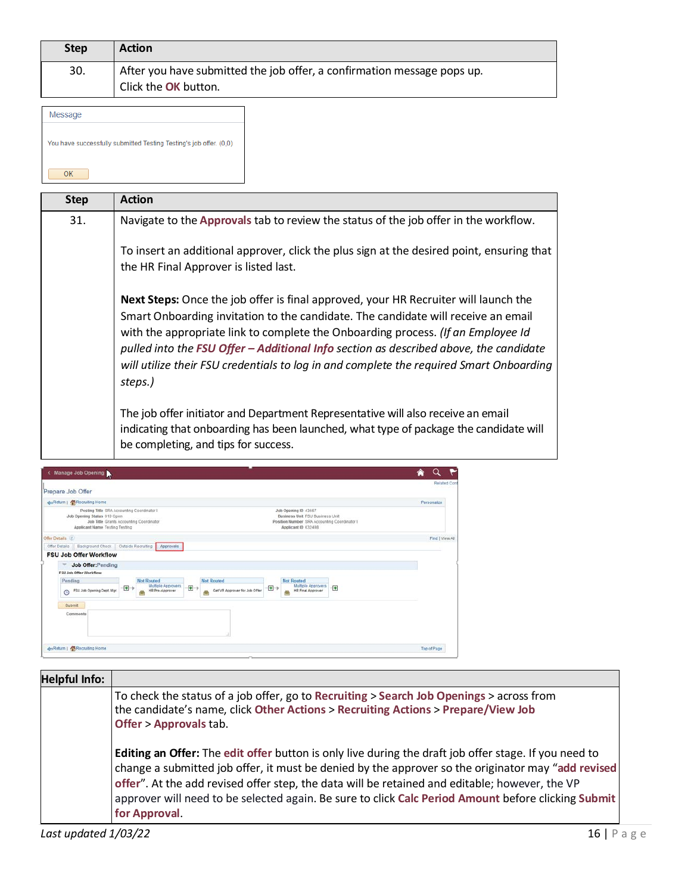| <b>Step</b> | <b>Action</b>                                                                                   |
|-------------|-------------------------------------------------------------------------------------------------|
| 30.         | After you have submitted the job offer, a confirmation message pops up.<br>Click the OK button. |
| Message     |                                                                                                 |

|    |  | You have successfully submitted Testing Testing's job offer. (0,0) |  |
|----|--|--------------------------------------------------------------------|--|
| ∩ĸ |  |                                                                    |  |

| <b>Step</b> | <b>Action</b>                                                                                                                                                                                                                                                                                                                                                                                                                                               |
|-------------|-------------------------------------------------------------------------------------------------------------------------------------------------------------------------------------------------------------------------------------------------------------------------------------------------------------------------------------------------------------------------------------------------------------------------------------------------------------|
| 31.         | Navigate to the Approvals tab to review the status of the job offer in the workflow.                                                                                                                                                                                                                                                                                                                                                                        |
|             | To insert an additional approver, click the plus sign at the desired point, ensuring that<br>the HR Final Approver is listed last.                                                                                                                                                                                                                                                                                                                          |
|             | Next Steps: Once the job offer is final approved, your HR Recruiter will launch the<br>Smart Onboarding invitation to the candidate. The candidate will receive an email<br>with the appropriate link to complete the Onboarding process. (If an Employee Id<br>pulled into the FSU Offer - Additional Info section as described above, the candidate<br>will utilize their FSU credentials to log in and complete the required Smart Onboarding<br>steps.) |
|             | The job offer initiator and Department Representative will also receive an email<br>indicating that onboarding has been launched, what type of package the candidate will<br>be completing, and tips for success.                                                                                                                                                                                                                                           |

| <b>An Return   Recruiting Home</b>                                                                                                                     |                              |                                                                 |     |                                                         |     |                                                                                                                                |                | Personalize     |
|--------------------------------------------------------------------------------------------------------------------------------------------------------|------------------------------|-----------------------------------------------------------------|-----|---------------------------------------------------------|-----|--------------------------------------------------------------------------------------------------------------------------------|----------------|-----------------|
| Posting Title SRA Accounting Coordinator I<br>Job Opening Status 010 Open<br>Job Title Grants Accounting Coordinator<br>Applicant Name Testing Testing |                              |                                                                 |     |                                                         |     | Job Opening ID 43667<br>Business Unit FSU Business Unit<br>Position Number SRA Accounting Coordinator I<br>Applicant ID 632498 |                |                 |
| Offer Details (2)                                                                                                                                      |                              |                                                                 |     |                                                         |     |                                                                                                                                |                | Find I View All |
| Background Check<br>Offer Details                                                                                                                      |                              | Outside Recruiting<br>Approvals                                 |     |                                                         |     |                                                                                                                                |                |                 |
| <b>FSU Job Offer Workflow</b>                                                                                                                          |                              |                                                                 |     |                                                         |     |                                                                                                                                |                |                 |
| Job Offer: Pending<br>FSU Job Offer Workflow                                                                                                           |                              |                                                                 |     |                                                         |     |                                                                                                                                |                |                 |
| Pending<br>FSU Job Opening Dept. Mgr.<br>$\odot$                                                                                                       | $\left  \frac{1}{2} \right $ | <b>Not Routed</b><br>Multiple Approvers<br>HR Pre-Approver<br>e | $+$ | <b>Not Routed</b><br>Get VP Approver for Job Offer<br>邑 | $+$ | <b>Not Routed</b><br><b>Multiple Approvers</b><br><b>HR Final Approver</b><br>≊                                                | $\overline{r}$ |                 |
| Submit                                                                                                                                                 |                              |                                                                 |     |                                                         |     |                                                                                                                                |                |                 |
| Comments                                                                                                                                               |                              |                                                                 |     |                                                         |     |                                                                                                                                |                |                 |
|                                                                                                                                                        |                              |                                                                 |     |                                                         |     |                                                                                                                                |                |                 |

| <b>Helpful Info:</b> |                                                                                                                                                                                                                                                                                                                                                                                                                                              |
|----------------------|----------------------------------------------------------------------------------------------------------------------------------------------------------------------------------------------------------------------------------------------------------------------------------------------------------------------------------------------------------------------------------------------------------------------------------------------|
|                      | To check the status of a job offer, go to Recruiting > Search Job Openings > across from<br>the candidate's name, click Other Actions > Recruiting Actions > Prepare/View Job<br><b>Offer &gt; Approvals tab.</b>                                                                                                                                                                                                                            |
|                      | <b>Editing an Offer:</b> The edit offer button is only live during the draft job offer stage. If you need to<br>change a submitted job offer, it must be denied by the approver so the originator may "add revised<br>offer". At the add revised offer step, the data will be retained and editable; however, the VP<br>approver will need to be selected again. Be sure to click Calc Period Amount before clicking Submit<br>for Approval. |
| Last updated 1/03/22 | 16 I<br>Page                                                                                                                                                                                                                                                                                                                                                                                                                                 |